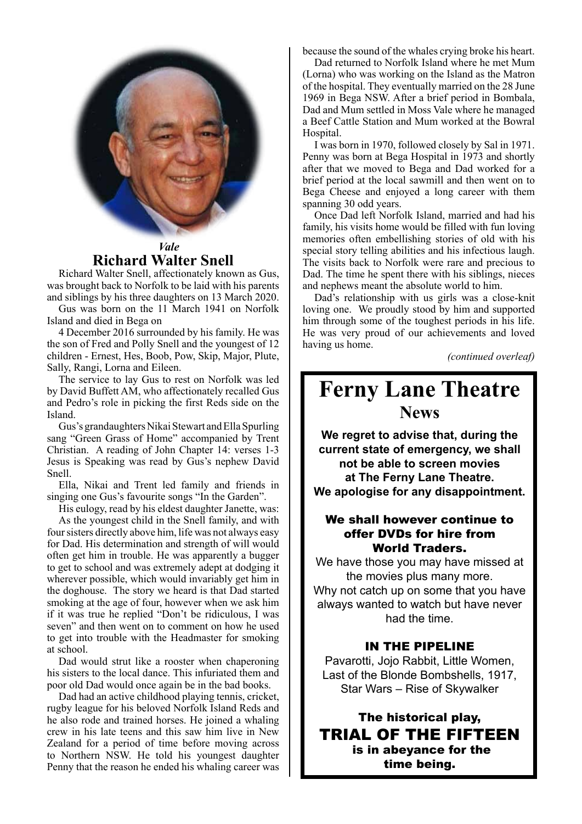

## **Richard Walter Snell**

Richard Walter Snell, affectionately known as Gus, was brought back to Norfolk to be laid with his parents and siblings by his three daughters on 13 March 2020.

Gus was born on the 11 March 1941 on Norfolk Island and died in Bega on

4 December 2016 surrounded by his family. He was the son of Fred and Polly Snell and the youngest of 12 children - Ernest, Hes, Boob, Pow, Skip, Major, Plute, Sally, Rangi, Lorna and Eileen.

The service to lay Gus to rest on Norfolk was led by David Buffett AM, who affectionately recalled Gus and Pedro's role in picking the first Reds side on the Island.

Gus's grandaughters Nikai Stewart and Ella Spurling sang "Green Grass of Home" accompanied by Trent Christian. A reading of John Chapter 14: verses 1-3 Jesus is Speaking was read by Gus's nephew David Snell.

Ella, Nikai and Trent led family and friends in singing one Gus's favourite songs "In the Garden".

His eulogy, read by his eldest daughter Janette, was: As the youngest child in the Snell family, and with four sisters directly above him, life was not always easy for Dad. His determination and strength of will would often get him in trouble. He was apparently a bugger to get to school and was extremely adept at dodging it wherever possible, which would invariably get him in the doghouse. The story we heard is that Dad started smoking at the age of four, however when we ask him if it was true he replied "Don't be ridiculous, I was seven" and then went on to comment on how he used to get into trouble with the Headmaster for smoking at school.

Dad would strut like a rooster when chaperoning his sisters to the local dance. This infuriated them and poor old Dad would once again be in the bad books.

Dad had an active childhood playing tennis, cricket, rugby league for his beloved Norfolk Island Reds and he also rode and trained horses. He joined a whaling crew in his late teens and this saw him live in New Zealand for a period of time before moving across to Northern NSW. He told his youngest daughter Penny that the reason he ended his whaling career was

because the sound of the whales crying broke his heart.

Dad returned to Norfolk Island where he met Mum (Lorna) who was working on the Island as the Matron of the hospital. They eventually married on the 28 June 1969 in Bega NSW. After a brief period in Bombala, Dad and Mum settled in Moss Vale where he managed a Beef Cattle Station and Mum worked at the Bowral Hospital.

I was born in 1970, followed closely by Sal in 1971. Penny was born at Bega Hospital in 1973 and shortly after that we moved to Bega and Dad worked for a brief period at the local sawmill and then went on to Bega Cheese and enjoyed a long career with them spanning 30 odd years.

Once Dad left Norfolk Island, married and had his family, his visits home would be filled with fun loving memories often embellishing stories of old with his special story telling abilities and his infectious laugh. The visits back to Norfolk were rare and precious to Dad. The time he spent there with his siblings, nieces and nephews meant the absolute world to him.

Dad's relationship with us girls was a close-knit loving one. We proudly stood by him and supported him through some of the toughest periods in his life. He was very proud of our achievements and loved having us home.

*(continued overleaf)*

# **Ferny Lane Theatre News**

**We regret to advise that, during the current state of emergency, we shall not be able to screen movies at The Ferny Lane Theatre. We apologise for any disappointment.**

#### We shall however continue to offer DVDs for hire from World Traders.

We have those you may have missed at the movies plus many more. Why not catch up on some that you have always wanted to watch but have never had the time.

#### IN THE PIPELINE

Pavarotti, Jojo Rabbit, Little Women, Last of the Blonde Bombshells, 1917, Star Wars – Rise of Skywalker

The historical play, TRIAL OF THE FIFTEEN is in abeyance for the time being.